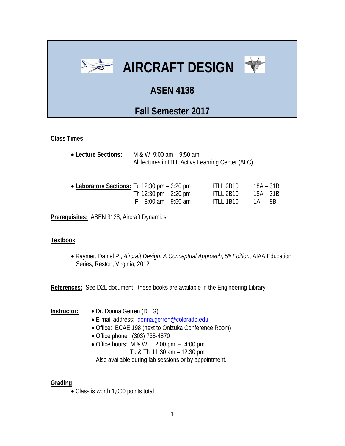

## **Class Times**

• **Lecture Sections:** M & W 9:00 am – 9:50 am All lectures in ITLL Active Learning Center (ALC)

| • Laboratory Sections: Tu 12:30 pm – 2:20 pm | ITLL 2B10        | 18A – 31B |
|----------------------------------------------|------------------|-----------|
| Th 12:30 pm $-$ 2:20 pm                      | <b>ITLL 2B10</b> | 18A – 31B |
| $F = 8:00$ am $-9:50$ am                     | ITLL 1B10        | 1A – 8B   |

**Prerequisites:** ASEN 3128, Aircraft Dynamics

## **Textbook**

• Raymer, Daniel P., *Aircraft Design: A Conceptual Approach*, *5th Edition*, AIAA Education Series, Reston, Virginia, 2012.

**References:** See D2L document - these books are available in the Engineering Library.

- **Instructor:** Dr. Donna Gerren (Dr. G)
	- E-mail address: [donna.gerren@colorado.edu](mailto:donna.gerren@colorado.edu)
	- Office: ECAE 198 (next to Onizuka Conference Room)
	- Office phone: (303) 735-4870
	- Office hours:  $M & W$  2:00 pm 4:00 pm Tu & Th 11:30 am – 12:30 pm Also available during lab sessions or by appointment.

## **Grading**

• Class is worth 1,000 points total